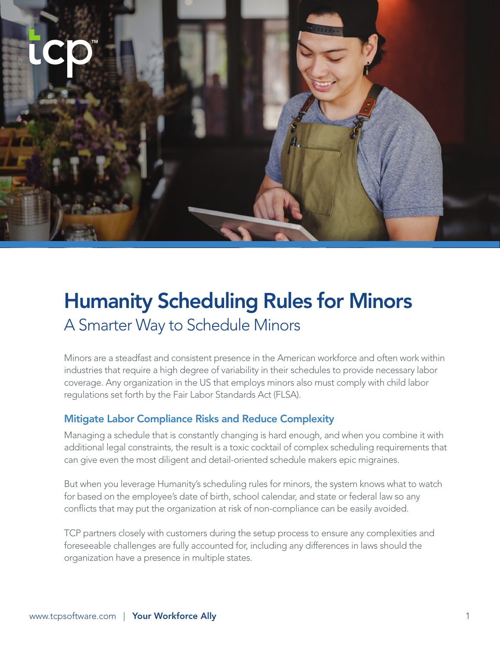# Humanity Scheduling Rules for Minors A Smarter Way to Schedule Minors

Minors are a steadfast and consistent presence in the American workforce and often work within industries that require a high degree of variability in their schedules to provide necessary labor coverage. Any organization in the US that employs minors also must comply with child labor regulations set forth by the Fair Labor Standards Act (FLSA).

### Mitigate Labor Compliance Risks and Reduce Complexity

Managing a schedule that is constantly changing is hard enough, and when you combine it with additional legal constraints, the result is a toxic cocktail of complex scheduling requirements that can give even the most diligent and detail-oriented schedule makers epic migraines.

But when you leverage Humanity's scheduling rules for minors, the system knows what to watch for based on the employee's date of birth, school calendar, and state or federal law so any conflicts that may put the organization at risk of non-compliance can be easily avoided.

TCP partners closely with customers during the setup process to ensure any complexities and foreseeable challenges are fully accounted for, including any differences in laws should the organization have a presence in multiple states.